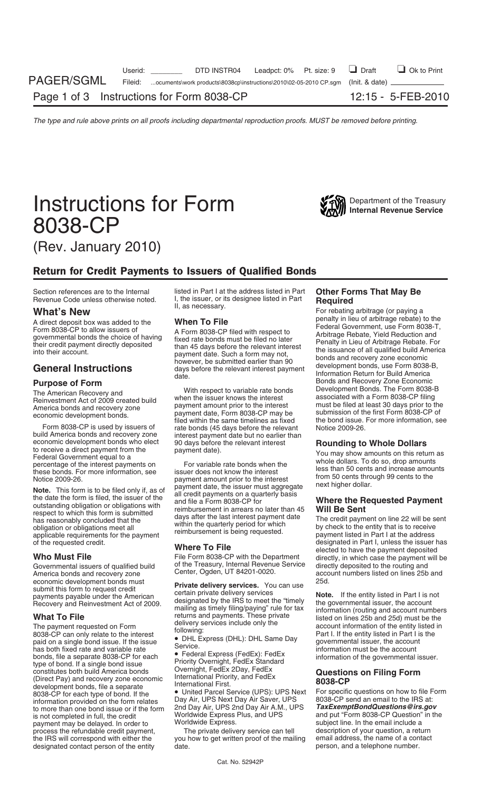

# Return for Credit Payments to Issuers of Qualified Bonds

Form 8038-CP is used by issuers of rate bonds (45 days before the relevant Notice 2009-26.<br>build America bonds and recovery zone interest payment date but no earlier than build America bonds and recovery zone interest payment date but no earlier than<br>economic development bonds who elect g0 days before the relevant interest

economic development bonds must<br>
25d. **Private delivery services.** You can use 25d.<br>
payments payable under the American clearing that the IPO to meat the "timely" **Note.** If the entity listed in Part I is not

What To File<br>
The payment requested on Form<br>
The payment requested on Form<br>
account information of the entity listed in<br>
8038-CP can only relate to the interest<br>
following:<br>
paid on single bond issue. If the issue<br>
has bot development bonds, file a separate and the mational First.<br>8038-CP for each type of bond. If the **•** United Parcel Service (UPS): UPS Next For specific questions on how to file Form<br>information provided on the form relates to more than one bond issue or if the form 2nd Day Air, UPS 2nd Day Air A.M.<br>is not completed in full, the credit **Worldwide Express Plus, and UPS** is not completed in full, the credit Worldwide Express Plus, and UPS and put "Form 8038-CP Question" in the payment may be delayed. In order to Worldwide Express. payment may be delayed. In order to worldwide Express. Subject line. In the email include a<br>process the refundable credit payment, The private delivery service can tell description of your question, a return process the refundable credit payment, The private delivery service can tell description of your question, a return<br>the IRS will correspond with either the you how to get written proof of the mailing email address, the nam designated contact person of the entity date.

Section references are to the Internal listed in Part I at the address listed in Part **Other Forms That May Be**<br>Revenue Code unless otherwise noted. I, the issuer, or its designee listed in Part **Required** 

economic development bonds who elect and the payment date).<br>
Federal Government equal to a<br>
Federal Government equal to a<br>
percentage of the interest payments on<br>
percentage of the interest payments on<br>
Note 2009-26.<br>
Note

File Form 8038-CP with the Department<br>of the Treasury, Internal Revenue Service Governmental issuers of qualified build of the Treasury, Internal Revenue Service directly deposited to the routing and<br>America bonds and recovery zone Center, Ogden, UT 84201-0020. America bonds unabers listed on lines 25

beginner that is not certain private delivery services<br>
Recovery and Reinvestment Act of 2009.<br>
The governmental issuer, the account<br>
mailing as timely filing/paying" rule for tax<br>
the governmental issuer, the account<br>
inf

Information provided on the form relates Day Air, UPS Next Day Air Saver, UPS 8038-CP send an email to the IRS at:<br>Information provided on the form relates Day Air, UPS 2nd Day Air A.M., UPS **TaxExemptBondQuestions@irs.gov** 

you how to get written proof of the mailing email address, the name of a contact date.

Revenue Code unless otherwise noted. I, the issuer, or its designee listed in Part **Required**<br>II, as necessary. **What II, as necessary.** For rebating arbitrage (or paying a<br>**A direct denote the What To File** arbitrage reba A direct deposit box was added to the<br>
Form 8038-CP to allow issuers of<br>
governmental bonds the choice of having<br>
tixed rate bonds must be filed no later<br>
their credit payment directly deposited<br>
into their account.<br> **Gene** date.<br>**Purpose of Form** distribution and the date date.<br>The American Becovery and With respect to variable rate bonds Development Bonds. The Form 8038-B The American Recovery and<br>
The American Recovery and<br>
Reinvestment Act of 2009 created build<br>
America bonds and recovery zone<br>
economic development bonds.<br>
Exerces the interest associated with a Form 8038-CP filing<br>
econom

of the requested credit.<br>**Where To File** elected to have the payment deposited<br>**Who Must File** elected to have the payment deposited<br>In Part I, unless the payment will be the payment will be account numbers listed on lines 25b and<br>25d.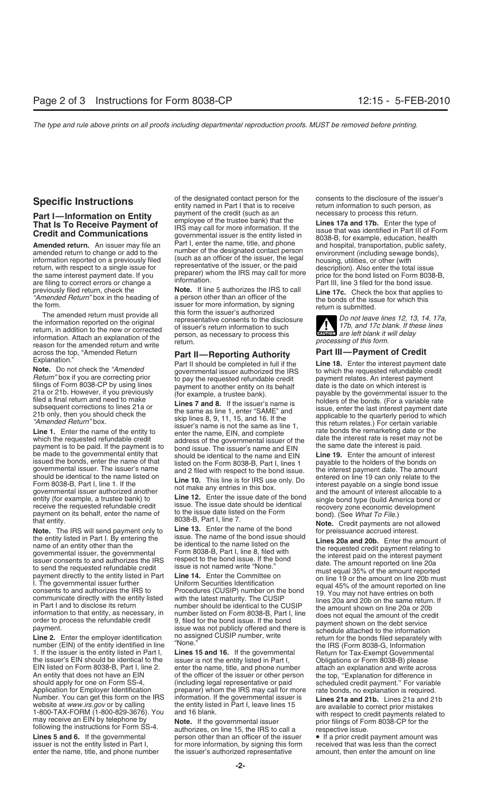previously filed return, check the **Note.** If line 5 authorizes the IRS to call<br>
"Amended Return" box in the heading of a person other than an officer of the the box that applies to<br>
the form.<br>
Issuer for more information,

information. Attach an explanation of the *person*, as necessary to process this *exument are left blank it will delay*<br>
reason for the amended return and write return.<br>
across the top, "Amended Return **Part II— Report i** across the top, "Amended Return **Part II—Reporting Authority**<br>Explanation."

governmental issuer. The issuer's name and 2 filed with respect to the bond issue. the interest payment date. The amount should be identical to the name listed on should be identical to the name listed on<br>Form 8038-B, Part I, line 1. If the **Line 10.** This line is for IRS use only. Do<br>governmental issuer authorized another the fact of the line of the line of the line of the line and governmental issuer authorized another<br>example, a trustee bank) to<br>receive the requested refundable credit<br>payment on its behalf, enter the name of<br>the issue date should be identical<br>the Form bond). (See What To File.)

the entity listed in Part I. By entering the<br>name of an entity other than the<br>name of an entity other than the<br>name of an entity other than the<br>name of an entity other than the<br>name of an entity offer the commental<br>issuer

number (EIN) of the entity identified in line "None."<br>1. If the issuer is the entity listed in Part I, Lines 15 and 16. If the governmental Return for Tax-Exempt Governmental 1. If the issuer is the entity listed in Part I, **Lines 15 and 16.** If the governmental Return for Tax-Exempt Governmental the issuer's EIN should be identical to the issuer is not the entity listed in Part I,<br>EIN listed on Form 8038-B, Part I, line 2. enter the name, title, and phone number EIN listed on Form 8038-B, Part I, line 2. enter the name, title, and phone number attach an explanation and write across An entity that does not have an EIN of the officer of the issuer or other person should apply for one on Form SS-4,  $\qquad \qquad$  (including legal representative or paid should apply for one on Form SS-4, (including legal representative or paid scheduled credit payment." For variable<br>Application for Employer Identification preparer) whom the IRS may call for more rate bonds, no explanation Number. You can get this form on the IRS information. If the governmental issuer is **Lines 21a and 21b.** Lines 21a and 21b

enter the name, title, and phone number the issuer's authorized representative amount, then enter the amount on line

**Part I—Information on Entity** payment of the credit (such as an an all the cressary to process this return.<br> **That Is To Receive Payment of** IRS may call for more information. If the **Lines 17a and 17b.** Enter the type of

the form.<br>
The amended return must provide all<br>
the information reported on the original<br>
the information reported on the original<br>
the information of the enew or corrected<br>
information of the energian of the person, as ne

payment is to be paid. If the payment is to bond issue. The issuer's name and EIN The same date the interest is paid.<br>Be made to the governmental entity that should be identical to the name and EIN Line 19. Enter the amoun issued the bonds, enter the name of that listed on the Form 8038-B, Part I, lines 1 payable to the holders of the bonds on<br>governmental issuer. The issuer's name land 2 filed with respect to the bond issue. If the interest

**Note.** The IRS will send payment only to **Line 13.** Enter the name of the bond the entity listed in Part I. By entering the issue. The name of the bond issue should

payment.<br> **Line 2.** Enter the employer identification no assigned CUSIP number, write return for the bonds filed separately with<br>
number (FIN) of the entity identified in line "None." The US (Ferm 9038 G Information

preparer) whom the IRS may call for more rate bonds, no explanation is required.

Lines 5 and 6. If the governmental person other than an officer of the issuer  $\bullet$  If a prior credit payment amount was issuer is not the entity listed in Part I, for more information, by signing this form received that wa for more information, by signing this form

**Specific Instructions** of the designated contact person for the consents to the disclosure of the issuer's entity named in Part I that is to receive return information to such person, as

**Amended return.** An issuer may file an<br>amended return to change or add to the<br>information reported on a previously filed<br>return, with respect to a single issue for<br>the same interest payment date. If you<br>the same interest

**ENTION** are left blank it will delay

Explanation."<br> **Note.** Do not check the "Amended governmental issuer authorized the IRS<br>
Return" box if you are correcting prior to pay the requested refundable credit<br>
Filings of Form 8038-CP by using lines payment to ano 21a or 21b. However, if you previously<br>
filed a final return and need to make<br>
subsequent corrections to lines 21a or<br>
21b only, then you should check the<br>
"Amended Return" box.<br> **Line 1.** Enter the name of the entity to<br>

payment only to the 13. Books behalf on the issue of the bond **Note.** Credit payments are not allowed **Note.** The IRS will send payment only to **Line 13.** Enter the name of the bond for preissuance accrued interest.

website at www.irs.gov or by calling the entity listed in Part I, leave lines 15<br>1-800-TAX-FORM (1-800-829-3676). You and 16 blank.<br>may receive an EIN by telephone by **Note.** If the governmental issuer following the instru